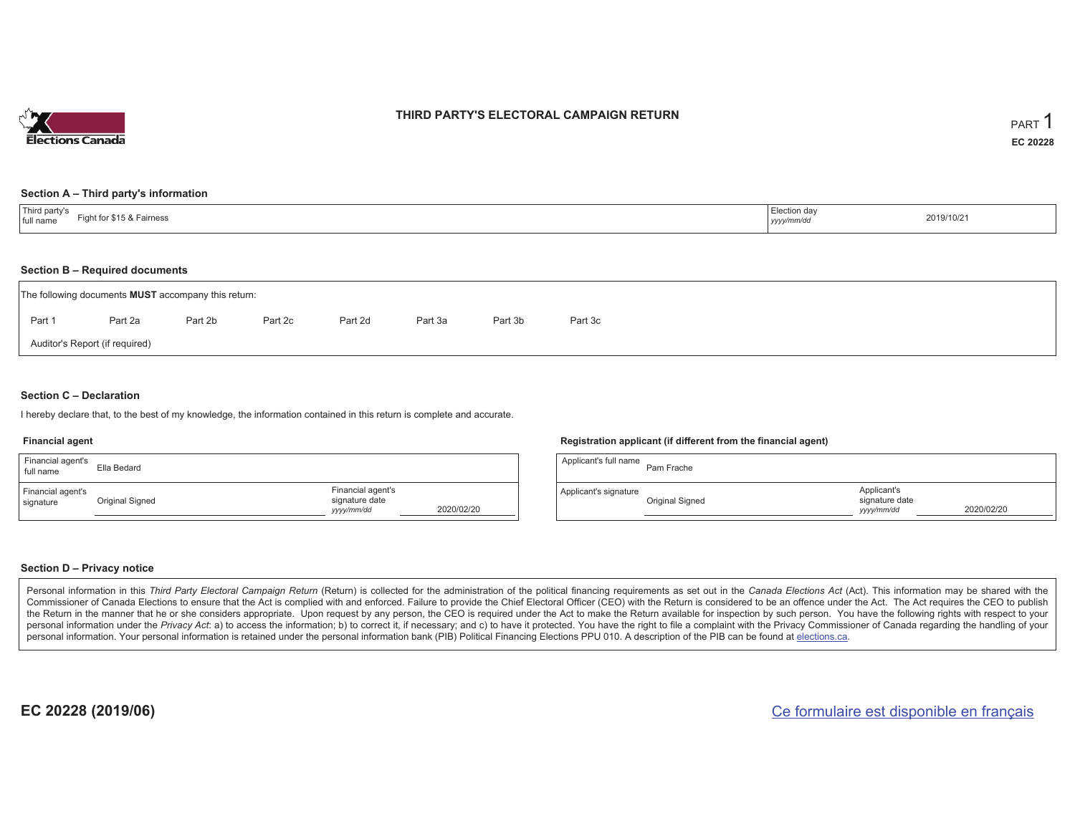

## **THIRD PARTY'S ELECTORAL CAMPAIGN RETURN**

#### **Section A – Third party's information**

| Third party's<br>Fight for \$15 & Fairness<br>full name | Election day<br>yyyy/mm/dd | 2019/10/21 |
|---------------------------------------------------------|----------------------------|------------|
|---------------------------------------------------------|----------------------------|------------|

#### **Section B – Required documents**

|                                | The following documents <b>MUST</b> accompany this return: |         |         |         |         |         |         |  |  |  |  |  |  |  |
|--------------------------------|------------------------------------------------------------|---------|---------|---------|---------|---------|---------|--|--|--|--|--|--|--|
| Part 1                         | Part 2a                                                    | Part 2b | Part 2c | Part 2d | Part 3a | Part 3b | Part 3c |  |  |  |  |  |  |  |
| Auditor's Report (if required) |                                                            |         |         |         |         |         |         |  |  |  |  |  |  |  |

### **Section C – Declaration**

I hereby declare that, to the best of my knowledge, the information contained in this return is complete and accurate.

#### **Financial agent**

| Financial agent's<br>full name | Ella Bedard     |                                                   |            |
|--------------------------------|-----------------|---------------------------------------------------|------------|
| Financial agent's<br>signature | Original Signed | Financial agent's<br>signature date<br>yyyy/mm/dd | 2020/02/20 |

#### **Registration applicant (if different from the financial agent)**

| Applicant's full name | Pam Frache      |                                             |            |
|-----------------------|-----------------|---------------------------------------------|------------|
| Applicant's signature | Original Signed | Applicant's<br>signature date<br>yyyy/mm/dd | 2020/02/20 |

### **Section D – Privacy notice**

Personal information in this Third Party Electoral Campaign Return (Return) is collected for the administration of the political financing requirements as set out in the Canada Elections Act (Act). This information may be Commissioner of Canada Elections to ensure that the Act is complied with and enforced. Failure to provide the Chief Electoral Officer (CEO) with the Return is considered to be an offence under the Act. The Act requires the the Return in the manner that he or she considers appropriate. Upon request by any person, the CEO is required under the Act to make the Return available for inspection by such person. You have the following rights with re personal information under the Privacy Act: a) to access the information; b) to correct it, if necessary; and c) to have it protected. You have the right to file a complaint with the Privacy Commissioner of Canada regardin personal information. Your personal information is retained under the personal information bank (PIB) Political Financing Elections PPU 010. A description of the PIB can be found at elections.ca.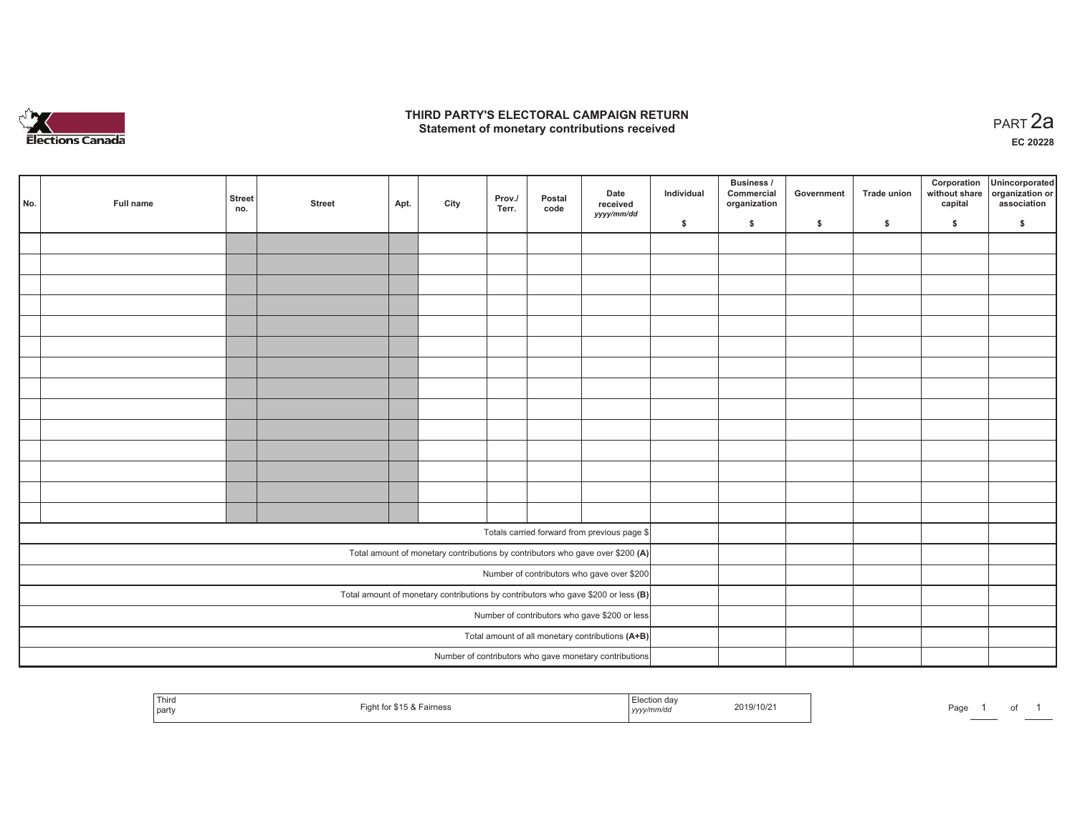

## **THIRD PARTY'S ELECTORAL CAMPAIGN RETURN HIRD PARTY'S ELECTORAL CAMPAIGN RETURN<br>Statement of monetary contributions received PART 2a**

**EC 20228**

| No. | <b>Full name</b> | Street<br>no.                                                                       | <b>Street</b>                                    | Apt. | City | Prov./<br>Terr. | Postal<br>code | Date<br>received<br>yyyy/mm/dd                                                 | Individual | Business /<br>Commercial<br>organization | Government | Trade union | Corporation<br>without share<br>capital | Unincorporated<br>organization or<br>association |
|-----|------------------|-------------------------------------------------------------------------------------|--------------------------------------------------|------|------|-----------------|----------------|--------------------------------------------------------------------------------|------------|------------------------------------------|------------|-------------|-----------------------------------------|--------------------------------------------------|
|     |                  |                                                                                     |                                                  |      |      |                 |                |                                                                                | \$         | $\mathsf{s}$                             | \$         | \$          | \$                                      | \$                                               |
|     |                  |                                                                                     |                                                  |      |      |                 |                |                                                                                |            |                                          |            |             |                                         |                                                  |
|     |                  |                                                                                     |                                                  |      |      |                 |                |                                                                                |            |                                          |            |             |                                         |                                                  |
|     |                  |                                                                                     |                                                  |      |      |                 |                |                                                                                |            |                                          |            |             |                                         |                                                  |
|     |                  |                                                                                     |                                                  |      |      |                 |                |                                                                                |            |                                          |            |             |                                         |                                                  |
|     |                  |                                                                                     |                                                  |      |      |                 |                |                                                                                |            |                                          |            |             |                                         |                                                  |
|     |                  |                                                                                     |                                                  |      |      |                 |                |                                                                                |            |                                          |            |             |                                         |                                                  |
|     |                  |                                                                                     |                                                  |      |      |                 |                |                                                                                |            |                                          |            |             |                                         |                                                  |
|     |                  |                                                                                     |                                                  |      |      |                 |                |                                                                                |            |                                          |            |             |                                         |                                                  |
|     |                  |                                                                                     |                                                  |      |      |                 |                |                                                                                |            |                                          |            |             |                                         |                                                  |
|     |                  |                                                                                     |                                                  |      |      |                 |                |                                                                                |            |                                          |            |             |                                         |                                                  |
|     |                  |                                                                                     |                                                  |      |      |                 |                |                                                                                |            |                                          |            |             |                                         |                                                  |
|     |                  |                                                                                     |                                                  |      |      |                 |                |                                                                                |            |                                          |            |             |                                         |                                                  |
|     |                  |                                                                                     |                                                  |      |      |                 |                |                                                                                |            |                                          |            |             |                                         |                                                  |
|     |                  |                                                                                     |                                                  |      |      |                 |                |                                                                                |            |                                          |            |             |                                         |                                                  |
|     |                  |                                                                                     |                                                  |      |      |                 |                |                                                                                |            |                                          |            |             |                                         |                                                  |
|     |                  |                                                                                     |                                                  |      |      |                 |                | Totals carried forward from previous page \$                                   |            |                                          |            |             |                                         |                                                  |
|     |                  |                                                                                     |                                                  |      |      |                 |                | Total amount of monetary contributions by contributors who gave over \$200 (A) |            |                                          |            |             |                                         |                                                  |
|     |                  |                                                                                     |                                                  |      |      |                 |                | Number of contributors who gave over \$200                                     |            |                                          |            |             |                                         |                                                  |
|     |                  | Total amount of monetary contributions by contributors who gave \$200 or less $(B)$ |                                                  |      |      |                 |                |                                                                                |            |                                          |            |             |                                         |                                                  |
|     |                  |                                                                                     | Number of contributors who gave \$200 or less    |      |      |                 |                |                                                                                |            |                                          |            |             |                                         |                                                  |
|     |                  |                                                                                     | Total amount of all monetary contributions (A+B) |      |      |                 |                |                                                                                |            |                                          |            |             |                                         |                                                  |
|     |                  |                                                                                     |                                                  |      |      |                 |                | Number of contributors who gave monetary contributions                         |            |                                          |            |             |                                         |                                                  |
|     |                  |                                                                                     |                                                  |      |      |                 |                |                                                                                |            |                                          |            |             |                                         |                                                  |

| Third<br>  party | $-$ ont for \$15.2.7<br>Fairness<br>. <del>.</del> <b>.</b> | Election da\<br>2019/10/21<br>.<br>yyyy/mm/do | Page<br>$\cdot$<br>______ |
|------------------|-------------------------------------------------------------|-----------------------------------------------|---------------------------|
|------------------|-------------------------------------------------------------|-----------------------------------------------|---------------------------|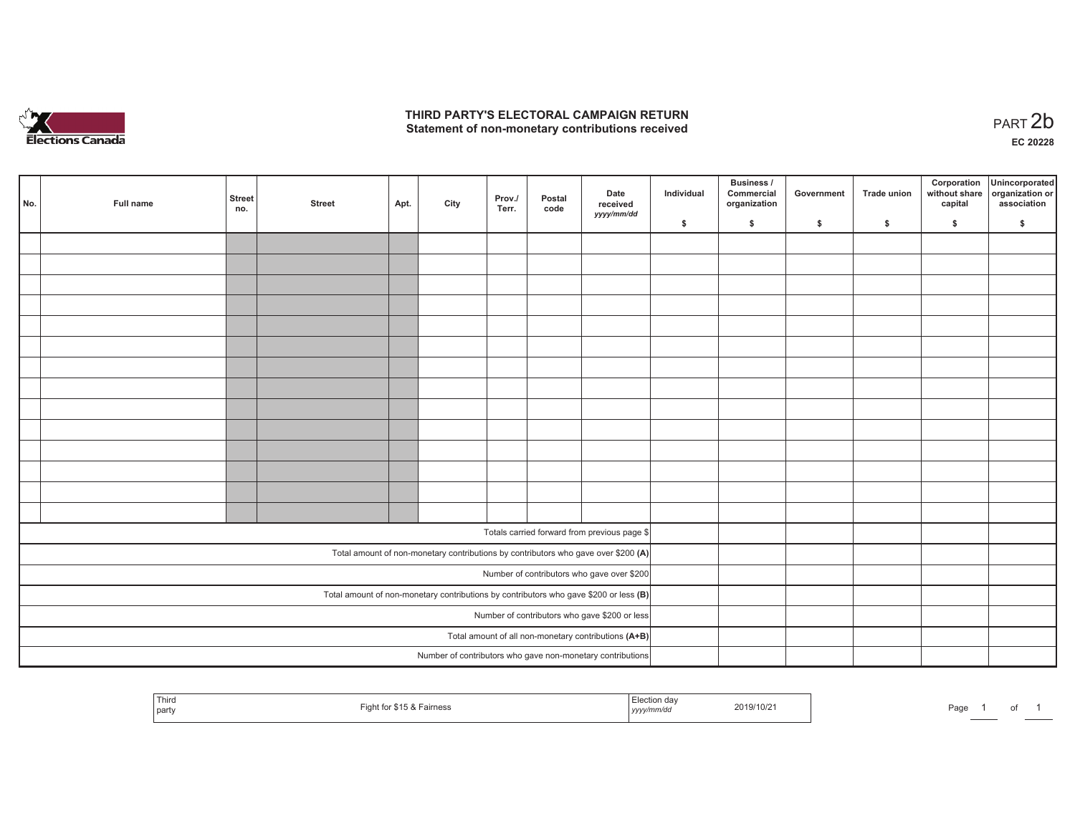

## **THIRD PARTY'S ELECTORAL CAMPAIGN RETURN**  THIRD PARTY'S ELECTORAL CAMPAIGN RETURN<br>Statement of non-monetary contributions received

1 of 1

| No.                                                                                     | Full name | <b>Street</b><br>no. | <b>Street</b>                                        | Apt. | City | Prov./<br>Terr. | Postal<br>code | Date<br>received<br>yyyy/mm/dd                                                     | Individual | <b>Business /</b><br>Commercial<br>organization | Government   | Trade union | Corporation<br>without share<br>capital | Unincorporated<br>organization or<br>association |
|-----------------------------------------------------------------------------------------|-----------|----------------------|------------------------------------------------------|------|------|-----------------|----------------|------------------------------------------------------------------------------------|------------|-------------------------------------------------|--------------|-------------|-----------------------------------------|--------------------------------------------------|
|                                                                                         |           |                      |                                                      |      |      |                 |                |                                                                                    | \$         | \$                                              | $\mathsf{s}$ | \$          | \$                                      | \$                                               |
|                                                                                         |           |                      |                                                      |      |      |                 |                |                                                                                    |            |                                                 |              |             |                                         |                                                  |
|                                                                                         |           |                      |                                                      |      |      |                 |                |                                                                                    |            |                                                 |              |             |                                         |                                                  |
|                                                                                         |           |                      |                                                      |      |      |                 |                |                                                                                    |            |                                                 |              |             |                                         |                                                  |
|                                                                                         |           |                      |                                                      |      |      |                 |                |                                                                                    |            |                                                 |              |             |                                         |                                                  |
|                                                                                         |           |                      |                                                      |      |      |                 |                |                                                                                    |            |                                                 |              |             |                                         |                                                  |
|                                                                                         |           |                      |                                                      |      |      |                 |                |                                                                                    |            |                                                 |              |             |                                         |                                                  |
|                                                                                         |           |                      |                                                      |      |      |                 |                |                                                                                    |            |                                                 |              |             |                                         |                                                  |
|                                                                                         |           |                      |                                                      |      |      |                 |                |                                                                                    |            |                                                 |              |             |                                         |                                                  |
|                                                                                         |           |                      |                                                      |      |      |                 |                |                                                                                    |            |                                                 |              |             |                                         |                                                  |
|                                                                                         |           |                      |                                                      |      |      |                 |                |                                                                                    |            |                                                 |              |             |                                         |                                                  |
|                                                                                         |           |                      |                                                      |      |      |                 |                |                                                                                    |            |                                                 |              |             |                                         |                                                  |
|                                                                                         |           |                      |                                                      |      |      |                 |                |                                                                                    |            |                                                 |              |             |                                         |                                                  |
|                                                                                         |           |                      |                                                      |      |      |                 |                |                                                                                    |            |                                                 |              |             |                                         |                                                  |
|                                                                                         |           |                      |                                                      |      |      |                 |                |                                                                                    |            |                                                 |              |             |                                         |                                                  |
|                                                                                         |           |                      |                                                      |      |      |                 |                |                                                                                    |            |                                                 |              |             |                                         |                                                  |
|                                                                                         |           |                      |                                                      |      |      |                 |                | Totals carried forward from previous page \$                                       |            |                                                 |              |             |                                         |                                                  |
|                                                                                         |           |                      |                                                      |      |      |                 |                | Total amount of non-monetary contributions by contributors who gave over \$200 (A) |            |                                                 |              |             |                                         |                                                  |
|                                                                                         |           |                      |                                                      |      |      |                 |                | Number of contributors who gave over \$200                                         |            |                                                 |              |             |                                         |                                                  |
| Total amount of non-monetary contributions by contributors who gave \$200 or less $(B)$ |           |                      |                                                      |      |      |                 |                |                                                                                    |            |                                                 |              |             |                                         |                                                  |
|                                                                                         |           |                      | Number of contributors who gave \$200 or less        |      |      |                 |                |                                                                                    |            |                                                 |              |             |                                         |                                                  |
|                                                                                         |           |                      | Total amount of all non-monetary contributions (A+B) |      |      |                 |                |                                                                                    |            |                                                 |              |             |                                         |                                                  |
|                                                                                         |           |                      |                                                      |      |      |                 |                | Number of contributors who gave non-monetary contributions                         |            |                                                 |              |             |                                         |                                                  |

| <sup>l</sup> Third<br>\$15 & Fairness<br>Fight for<br>  party | ≞lection dav<br>2019/10/21<br>$\frac{1}{2}$<br>, yyyy/mm/aa | Page |
|---------------------------------------------------------------|-------------------------------------------------------------|------|
|---------------------------------------------------------------|-------------------------------------------------------------|------|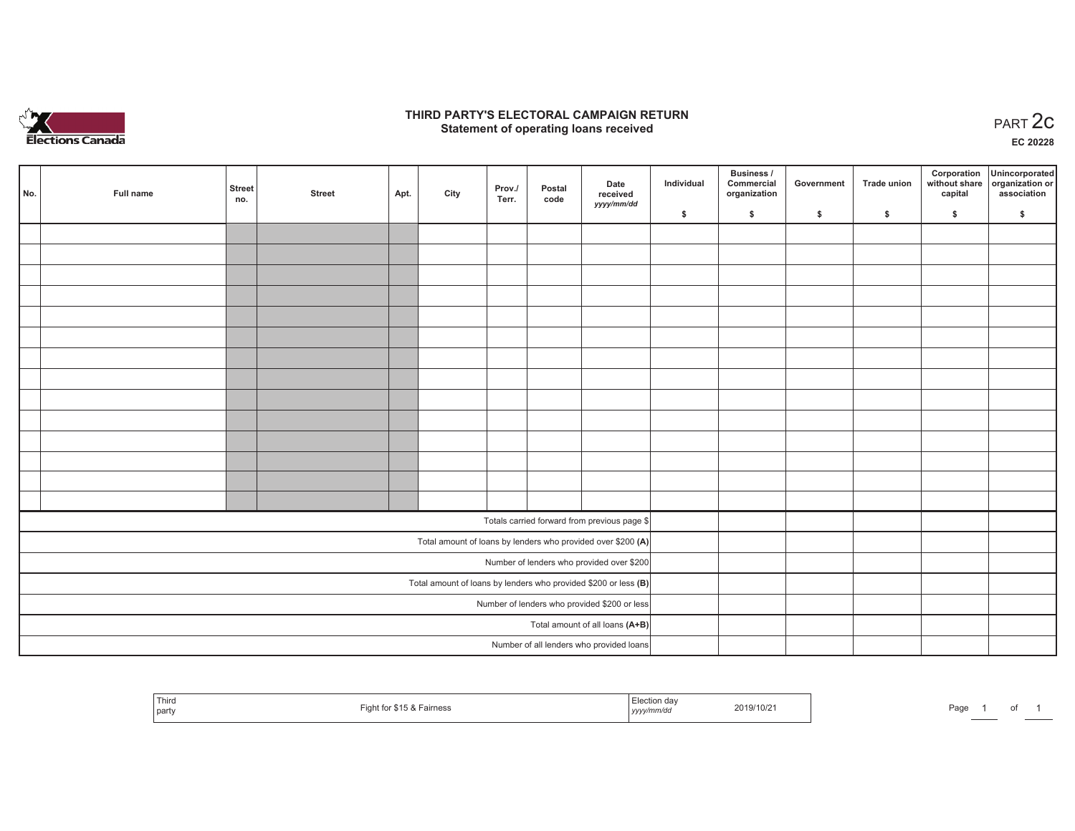

## **THIRD PARTY'S ELECTORAL CAMPAIGN RETURN STATE:** PARTY'S ELECTORAL CAMPAIGN RETURN<br>
Statement of operating loans received

**EC 20228**

|                                           |           |                                                                   |                                              |      |      |                 |                |                                                              |            | Business /                 |            |                    | Corporation | Unincorporated                               |
|-------------------------------------------|-----------|-------------------------------------------------------------------|----------------------------------------------|------|------|-----------------|----------------|--------------------------------------------------------------|------------|----------------------------|------------|--------------------|-------------|----------------------------------------------|
| No.                                       | Full name | <b>Street</b><br>no.                                              | <b>Street</b>                                | Apt. | City | Prov./<br>Terr. | Postal<br>code | Date<br>received                                             | Individual | Commercial<br>organization | Government | <b>Trade union</b> | capital     | without share organization or<br>association |
|                                           |           |                                                                   |                                              |      |      |                 |                | yyyy/mm/dd                                                   | \$         | \$                         | \$         | $\sqrt{2}$         | \$          | \$                                           |
|                                           |           |                                                                   |                                              |      |      |                 |                |                                                              |            |                            |            |                    |             |                                              |
|                                           |           |                                                                   |                                              |      |      |                 |                |                                                              |            |                            |            |                    |             |                                              |
|                                           |           |                                                                   |                                              |      |      |                 |                |                                                              |            |                            |            |                    |             |                                              |
|                                           |           |                                                                   |                                              |      |      |                 |                |                                                              |            |                            |            |                    |             |                                              |
|                                           |           |                                                                   |                                              |      |      |                 |                |                                                              |            |                            |            |                    |             |                                              |
|                                           |           |                                                                   |                                              |      |      |                 |                |                                                              |            |                            |            |                    |             |                                              |
|                                           |           |                                                                   |                                              |      |      |                 |                |                                                              |            |                            |            |                    |             |                                              |
|                                           |           |                                                                   |                                              |      |      |                 |                |                                                              |            |                            |            |                    |             |                                              |
|                                           |           |                                                                   |                                              |      |      |                 |                |                                                              |            |                            |            |                    |             |                                              |
|                                           |           |                                                                   |                                              |      |      |                 |                |                                                              |            |                            |            |                    |             |                                              |
|                                           |           |                                                                   |                                              |      |      |                 |                |                                                              |            |                            |            |                    |             |                                              |
|                                           |           |                                                                   |                                              |      |      |                 |                |                                                              |            |                            |            |                    |             |                                              |
|                                           |           |                                                                   |                                              |      |      |                 |                |                                                              |            |                            |            |                    |             |                                              |
|                                           |           |                                                                   |                                              |      |      |                 |                |                                                              |            |                            |            |                    |             |                                              |
|                                           |           |                                                                   |                                              |      |      |                 |                | Totals carried forward from previous page \$                 |            |                            |            |                    |             |                                              |
|                                           |           |                                                                   |                                              |      |      |                 |                | Total amount of loans by lenders who provided over \$200 (A) |            |                            |            |                    |             |                                              |
| Number of lenders who provided over \$200 |           |                                                                   |                                              |      |      |                 |                |                                                              |            |                            |            |                    |             |                                              |
|                                           |           | Total amount of loans by lenders who provided \$200 or less $(B)$ |                                              |      |      |                 |                |                                                              |            |                            |            |                    |             |                                              |
|                                           |           |                                                                   | Number of lenders who provided \$200 or less |      |      |                 |                |                                                              |            |                            |            |                    |             |                                              |
|                                           |           |                                                                   |                                              |      |      |                 |                | Total amount of all loans (A+B)                              |            |                            |            |                    |             |                                              |
|                                           |           |                                                                   |                                              |      |      |                 |                | Number of all lenders who provided loans                     |            |                            |            |                    |             |                                              |

| Third<br>party | ight for \$15<br>Fairness<br>1:2:2<br>$\sim$ | . Election de<br>yyyymmvuu | 2019/10/2 | Page |  |  |  |
|----------------|----------------------------------------------|----------------------------|-----------|------|--|--|--|
|----------------|----------------------------------------------|----------------------------|-----------|------|--|--|--|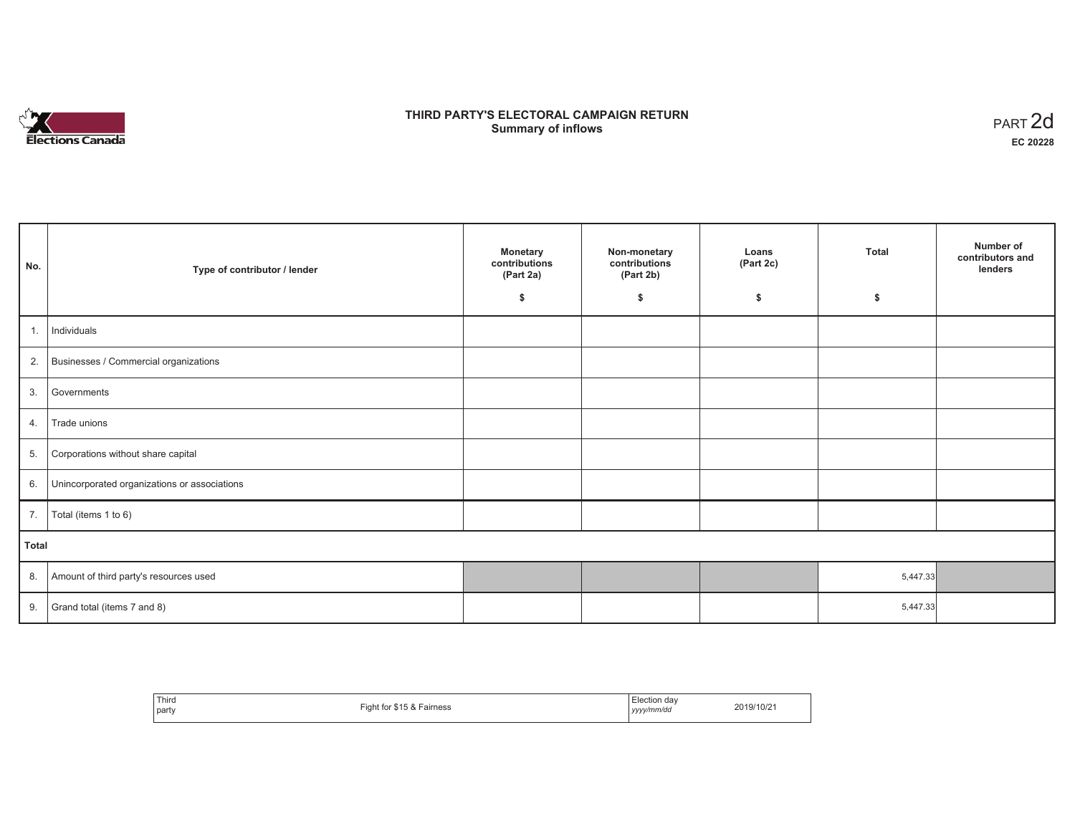

# **THIRD PARTY'S ELECTORAL CAMPAIGN RETURN Summary of inflows** PART 2d

| No.   | Type of contributor / lender                 | <b>Monetary</b><br>contributions<br>(Part 2a) | Non-monetary<br>contributions<br>(Part 2b) | Loans<br>(Part 2c) | <b>Total</b> | Number of<br>contributors and<br>lenders |
|-------|----------------------------------------------|-----------------------------------------------|--------------------------------------------|--------------------|--------------|------------------------------------------|
|       |                                              | \$                                            | \$                                         | \$                 | \$           |                                          |
| 1.    | Individuals                                  |                                               |                                            |                    |              |                                          |
| 2.    | Businesses / Commercial organizations        |                                               |                                            |                    |              |                                          |
| 3.    | Governments                                  |                                               |                                            |                    |              |                                          |
| 4.    | Trade unions                                 |                                               |                                            |                    |              |                                          |
| 5.    | Corporations without share capital           |                                               |                                            |                    |              |                                          |
| 6.    | Unincorporated organizations or associations |                                               |                                            |                    |              |                                          |
| 7.    | Total (items 1 to 6)                         |                                               |                                            |                    |              |                                          |
| Total |                                              |                                               |                                            |                    |              |                                          |
| 8.    | Amount of third party's resources used       |                                               |                                            |                    | 5,447.33     |                                          |
| 9.    | Grand total (items 7 and 8)                  |                                               |                                            |                    | 5,447.33     |                                          |

| Third<br>party<br>$\sim$ $\sim$ | Fairness<br>. . r .<br>$-$ iaht tr | Election day<br>yyyy/mm/dd | 2019/10/21 |
|---------------------------------|------------------------------------|----------------------------|------------|
|---------------------------------|------------------------------------|----------------------------|------------|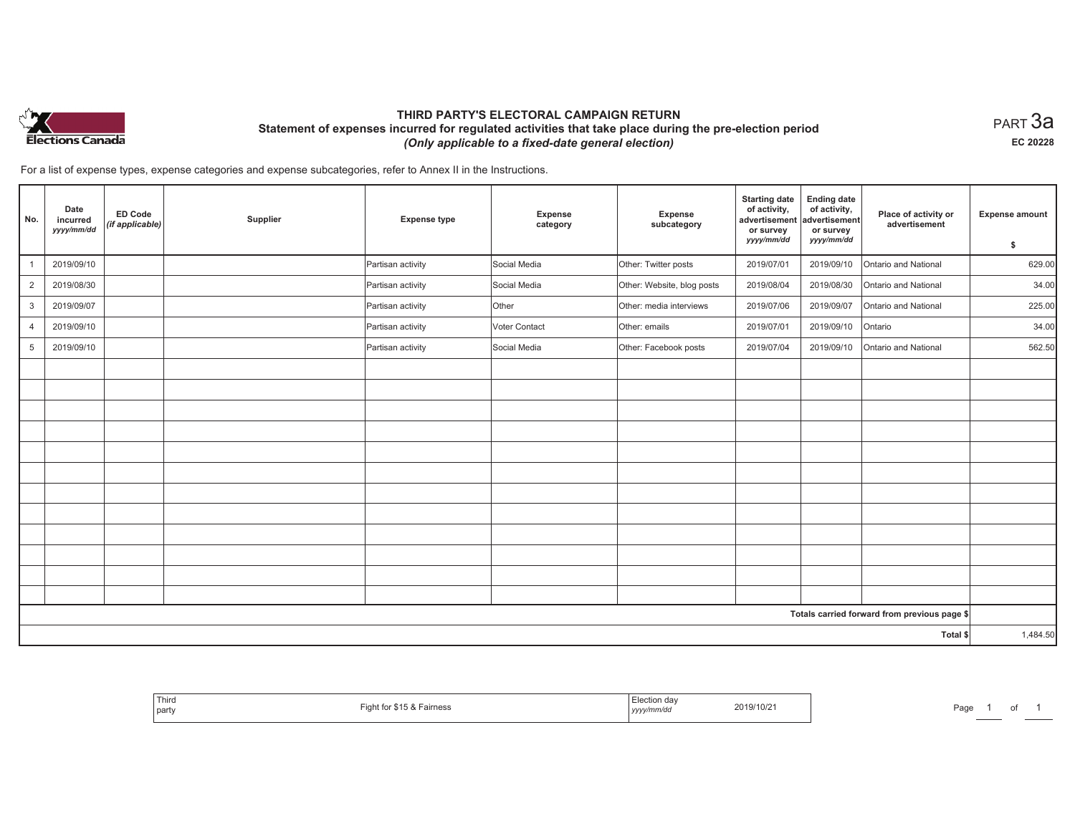

# **THIRD PARTY'S ELECTORAL CAMPAIGN RETURN Statement of expenses incurred for regulated activities that take place during the pre-election period**  *(Only applicable to a fixed-date general election)*

 $_{\sf PART}$ 3a **EC 20228**

For a list of expense types, expense categories and expense subcategories, refer to Annex II in the Instructions.

| No.                                          | Date<br>incurred<br>yyyy/mm/dd | ED Code<br>(if applicable) | Supplier | <b>Expense type</b> | <b>Expense</b><br>category | Expense<br>subcategory     | <b>Starting date</b><br>of activity,<br>advertisement<br>or survey<br>yyyy/mm/dd | <b>Ending date</b><br>of activity,<br>advertisement<br>or survey<br>yyyy/mm/dd | Place of activity or<br>advertisement | <b>Expense amount</b><br>\$ |
|----------------------------------------------|--------------------------------|----------------------------|----------|---------------------|----------------------------|----------------------------|----------------------------------------------------------------------------------|--------------------------------------------------------------------------------|---------------------------------------|-----------------------------|
| $\mathbf{1}$                                 | 2019/09/10                     |                            |          | Partisan activity   | Social Media               | Other: Twitter posts       | 2019/07/01                                                                       | 2019/09/10                                                                     | Ontario and National                  | 629.00                      |
| 2                                            | 2019/08/30                     |                            |          | Partisan activity   | Social Media               | Other: Website, blog posts | 2019/08/04                                                                       | 2019/08/30                                                                     | Ontario and National                  | 34.00                       |
| 3                                            | 2019/09/07                     |                            |          | Partisan activity   | Other                      | Other: media interviews    | 2019/07/06                                                                       | 2019/09/07                                                                     | Ontario and National                  | 225.00                      |
| $\overline{4}$                               | 2019/09/10                     |                            |          | Partisan activity   | Voter Contact              | Other: emails              | 2019/07/01                                                                       | 2019/09/10                                                                     | Ontario                               | 34.00                       |
| 5                                            | 2019/09/10                     |                            |          | Partisan activity   | Social Media               | Other: Facebook posts      | 2019/07/04                                                                       | 2019/09/10                                                                     | Ontario and National                  | 562.50                      |
|                                              |                                |                            |          |                     |                            |                            |                                                                                  |                                                                                |                                       |                             |
|                                              |                                |                            |          |                     |                            |                            |                                                                                  |                                                                                |                                       |                             |
|                                              |                                |                            |          |                     |                            |                            |                                                                                  |                                                                                |                                       |                             |
|                                              |                                |                            |          |                     |                            |                            |                                                                                  |                                                                                |                                       |                             |
|                                              |                                |                            |          |                     |                            |                            |                                                                                  |                                                                                |                                       |                             |
|                                              |                                |                            |          |                     |                            |                            |                                                                                  |                                                                                |                                       |                             |
|                                              |                                |                            |          |                     |                            |                            |                                                                                  |                                                                                |                                       |                             |
|                                              |                                |                            |          |                     |                            |                            |                                                                                  |                                                                                |                                       |                             |
|                                              |                                |                            |          |                     |                            |                            |                                                                                  |                                                                                |                                       |                             |
|                                              |                                |                            |          |                     |                            |                            |                                                                                  |                                                                                |                                       |                             |
|                                              |                                |                            |          |                     |                            |                            |                                                                                  |                                                                                |                                       |                             |
|                                              |                                |                            |          |                     |                            |                            |                                                                                  |                                                                                |                                       |                             |
| Totals carried forward from previous page \$ |                                |                            |          |                     |                            |                            |                                                                                  |                                                                                |                                       |                             |
| Total \$                                     |                                |                            |          |                     |                            |                            | 1,484.50                                                                         |                                                                                |                                       |                             |

| Third<br>$\ldots$ ror $Q$ 15 $Q -$<br>iaht tor<br>r \$15 & Fairness<br>party<br>. | lootion<br>∟lection day<br>2019/10/21<br>.<br>, yyyy/mm/dd | Page |
|-----------------------------------------------------------------------------------|------------------------------------------------------------|------|
|-----------------------------------------------------------------------------------|------------------------------------------------------------|------|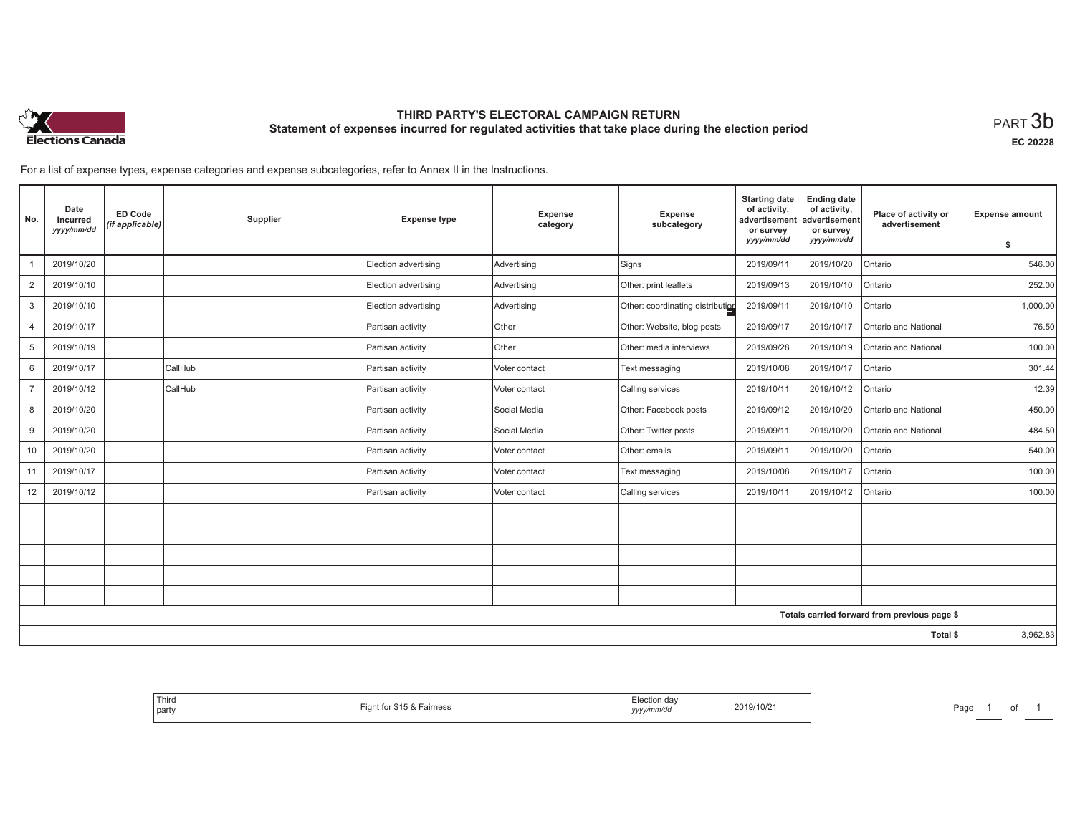

# **THIRD PARTY'S ELECTORAL CAMPAIGN RETURN Statement of expenses incurred for regulated activities that take place during the election period**<br>PART  $3\mathsf{b}$

**EC 20228**

For a list of expense types, expense categories and expense subcategories, refer to Annex II in the Instructions.

| No.            | Date<br>incurred<br>yyyy/mm/dd | <b>ED Code</b><br>(if applicable) | Supplier | <b>Expense type</b>  | <b>Expense</b><br>category | <b>Expense</b><br>subcategory    | <b>Starting date</b><br>of activity,<br>advertisement<br>or survey<br>yyyy/mm/dd | <b>Ending date</b><br>of activity,<br>advertisement<br>or survey<br>yyyy/mm/dd | Place of activity or<br>advertisement        | <b>Expense amount</b><br>\$ |
|----------------|--------------------------------|-----------------------------------|----------|----------------------|----------------------------|----------------------------------|----------------------------------------------------------------------------------|--------------------------------------------------------------------------------|----------------------------------------------|-----------------------------|
|                | 2019/10/20                     |                                   |          | Election advertising | Advertising                | Signs                            | 2019/09/11                                                                       | 2019/10/20                                                                     | Ontario                                      | 546.00                      |
| 2              | 2019/10/10                     |                                   |          | Election advertising | Advertising                | Other: print leaflets            | 2019/09/13                                                                       | 2019/10/10                                                                     | Ontario                                      | 252.00                      |
| 3              | 2019/10/10                     |                                   |          | Election advertising | Advertising                | Other: coordinating distribution | 2019/09/11                                                                       | 2019/10/10                                                                     | Ontario                                      | 1,000.00                    |
| $\overline{4}$ | 2019/10/17                     |                                   |          | Partisan activity    | Other                      | Other: Website, blog posts       | 2019/09/17                                                                       | 2019/10/17                                                                     | Ontario and National                         | 76.50                       |
| 5              | 2019/10/19                     |                                   |          | Partisan activity    | Other                      | Other: media interviews          | 2019/09/28                                                                       | 2019/10/19                                                                     | Ontario and National                         | 100.00                      |
| 6              | 2019/10/17                     |                                   | CallHub  | Partisan activity    | Voter contact              | Text messaging                   | 2019/10/08                                                                       | 2019/10/17                                                                     | Ontario                                      | 301.44                      |
| $\overline{7}$ | 2019/10/12                     |                                   | CallHub  | Partisan activity    | Voter contact              | Calling services                 | 2019/10/11                                                                       | 2019/10/12                                                                     | Ontario                                      | 12.39                       |
| 8              | 2019/10/20                     |                                   |          | Partisan activity    | Social Media               | Other: Facebook posts            | 2019/09/12                                                                       | 2019/10/20                                                                     | Ontario and National                         | 450.00                      |
| 9              | 2019/10/20                     |                                   |          | Partisan activity    | Social Media               | Other: Twitter posts             | 2019/09/11                                                                       | 2019/10/20                                                                     | Ontario and National                         | 484.50                      |
| 10             | 2019/10/20                     |                                   |          | Partisan activity    | Voter contact              | Other: emails                    | 2019/09/11                                                                       | 2019/10/20                                                                     | Ontario                                      | 540.00                      |
| 11             | 2019/10/17                     |                                   |          | Partisan activity    | Voter contact              | Text messaging                   | 2019/10/08                                                                       | 2019/10/17                                                                     | Ontario                                      | 100.00                      |
| 12             | 2019/10/12                     |                                   |          | Partisan activity    | Voter contact              | Calling services                 | 2019/10/11                                                                       | 2019/10/12                                                                     | Ontario                                      | 100.00                      |
|                |                                |                                   |          |                      |                            |                                  |                                                                                  |                                                                                |                                              |                             |
|                |                                |                                   |          |                      |                            |                                  |                                                                                  |                                                                                |                                              |                             |
|                |                                |                                   |          |                      |                            |                                  |                                                                                  |                                                                                |                                              |                             |
|                |                                |                                   |          |                      |                            |                                  |                                                                                  |                                                                                |                                              |                             |
|                |                                |                                   |          |                      |                            |                                  |                                                                                  |                                                                                |                                              |                             |
|                |                                |                                   |          |                      |                            |                                  |                                                                                  |                                                                                | Totals carried forward from previous page \$ |                             |
| Total \$       |                                |                                   |          |                      |                            |                                  | 3,962.83                                                                         |                                                                                |                                              |                             |

| -lection dav<br>2019/10/21<br>airness<br>, yyyy/mm/dd | Thiro<br>party |
|-------------------------------------------------------|----------------|
|-------------------------------------------------------|----------------|

Page 1 of